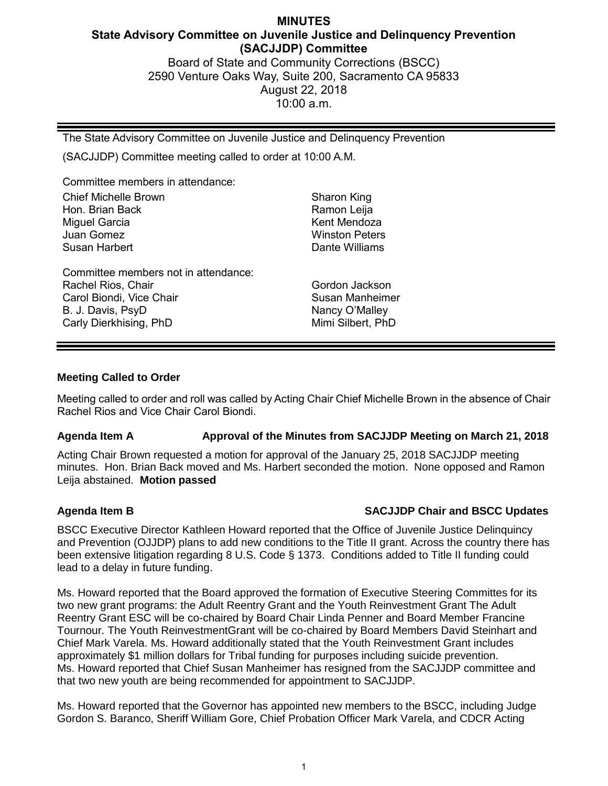# **MINUTES State Advisory Committee on Juvenile Justice and Delinquency Prevention (SACJJDP) Committee** Board of State and Community Corrections (BSCC)

2590 Venture Oaks Way, Suite 200, Sacramento CA 95833 August 22, 2018 10:00 a.m.

The State Advisory Committee on Juvenile Justice and Delinquency Prevention

(SACJJDP) Committee meeting called to order at 10:00 A.M.

Committee members in attendance:

| <b>Chief Michelle Brown</b>                                                                                                           | Sharon King                                                              |
|---------------------------------------------------------------------------------------------------------------------------------------|--------------------------------------------------------------------------|
| Hon. Brian Back                                                                                                                       | Ramon Leija                                                              |
| Miguel Garcia                                                                                                                         | Kent Mendoza                                                             |
| Juan Gomez                                                                                                                            | <b>Winston Peters</b>                                                    |
| Susan Harbert                                                                                                                         | Dante Williams                                                           |
| Committee members not in attendance:<br>Rachel Rios, Chair<br>Carol Biondi, Vice Chair<br>B. J. Davis, PsyD<br>Carly Dierkhising, PhD | Gordon Jackson<br>Susan Manheimer<br>Nancy O'Malley<br>Mimi Silbert, PhD |

#### **Meeting Called to Order**

Meeting called to order and roll was called by Acting Chair Chief Michelle Brown in the absence of Chair Rachel Rios and Vice Chair Carol Biondi.

### **Agenda Item A Approval of the Minutes from SACJJDP Meeting on March 21, 2018**

Acting Chair Brown requested a motion for approval of the January 25, 2018 SACJJDP meeting minutes. Hon. Brian Back moved and Ms. Harbert seconded the motion. None opposed and Ramon Leija abstained. **Motion passed**

# **Agenda Item B SACJJDP Chair and BSCC Updates**

BSCC Executive Director Kathleen Howard reported that the Office of Juvenile Justice Delinquincy and Prevention (OJJDP) plans to add new conditions to the Title II grant. Across the country there has been extensive litigation regarding 8 U.S. Code § 1373. Conditions added to Title II funding could lead to a delay in future funding.

Ms. Howard reported that the Board approved the formation of Executive Steering Committes for its two new grant programs: the Adult Reentry Grant and the Youth Reinvestment Grant The Adult Reentry Grant ESC will be co-chaired by Board Chair Linda Penner and Board Member Francine Tournour. The Youth ReinvestmentGrant will be co-chaired by Board Members David Steinhart and Chief Mark Varela. Ms. Howard additionally stated that the Youth Reinvestment Grant includes approximately \$1 million dollars for Tribal funding for purposes including suicide prevention. Ms. Howard reported that Chief Susan Manheimer has resigned from the SACJJDP committee and that two new youth are being recommended for appointment to SACJJDP.

Ms. Howard reported that the Governor has appointed new members to the BSCC, including Judge Gordon S. Baranco, Sheriff William Gore, Chief Probation Officer Mark Varela, and CDCR Acting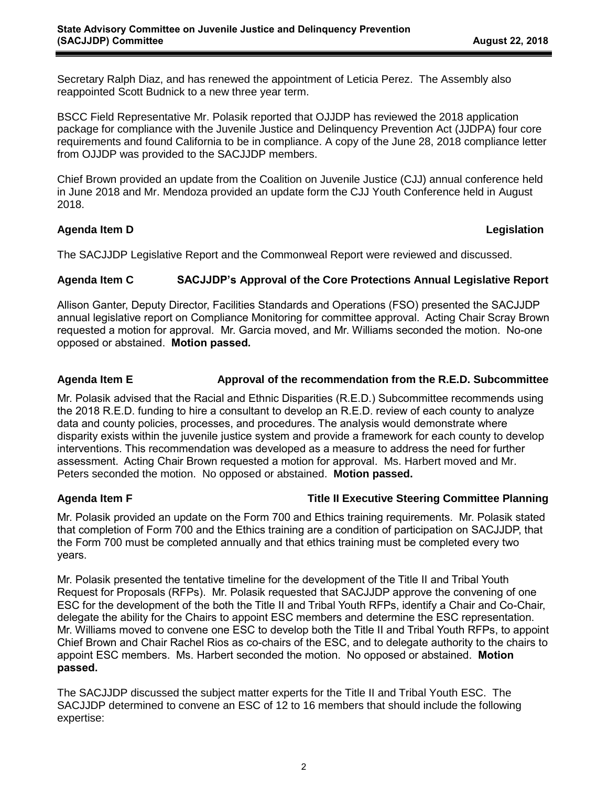Secretary Ralph Diaz, and has renewed the appointment of Leticia Perez. The Assembly also reappointed Scott Budnick to a new three year term.

BSCC Field Representative Mr. Polasik reported that OJJDP has reviewed the 2018 application package for compliance with the Juvenile Justice and Delinquency Prevention Act (JJDPA) four core requirements and found California to be in compliance. A copy of the June 28, 2018 compliance letter from OJJDP was provided to the SACJJDP members.

Chief Brown provided an update from the Coalition on Juvenile Justice (CJJ) annual conference held in June 2018 and Mr. Mendoza provided an update form the CJJ Youth Conference held in August 2018.

### **Agenda Item D Legislation**

The SACJJDP Legislative Report and the Commonweal Report were reviewed and discussed.

### **Agenda Item C SACJJDP's Approval of the Core Protections Annual Legislative Report**

Allison Ganter, Deputy Director, Facilities Standards and Operations (FSO) presented the SACJJDP annual legislative report on Compliance Monitoring for committee approval. Acting Chair Scray Brown requested a motion for approval. Mr. Garcia moved, and Mr. Williams seconded the motion. No-one opposed or abstained. **Motion passed.**

# **Agenda Item E Approval of the recommendation from the R.E.D. Subcommittee**

Mr. Polasik advised that the Racial and Ethnic Disparities (R.E.D.) Subcommittee recommends using the 2018 R.E.D. funding to hire a consultant to develop an R.E.D. review of each county to analyze data and county policies, processes, and procedures. The analysis would demonstrate where disparity exists within the juvenile justice system and provide a framework for each county to develop interventions. This recommendation was developed as a measure to address the need for further assessment. Acting Chair Brown requested a motion for approval. Ms. Harbert moved and Mr. Peters seconded the motion. No opposed or abstained. **Motion passed.** 

# **Agenda Item F Title II Executive Steering Committee Planning**

Mr. Polasik provided an update on the Form 700 and Ethics training requirements. Mr. Polasik stated that completion of Form 700 and the Ethics training are a condition of participation on SACJJDP, that the Form 700 must be completed annually and that ethics training must be completed every two years.

Mr. Polasik presented the tentative timeline for the development of the Title II and Tribal Youth Request for Proposals (RFPs). Mr. Polasik requested that SACJJDP approve the convening of one ESC for the development of the both the Title II and Tribal Youth RFPs, identify a Chair and Co-Chair, delegate the ability for the Chairs to appoint ESC members and determine the ESC representation. Mr. Williams moved to convene one ESC to develop both the Title II and Tribal Youth RFPs, to appoint Chief Brown and Chair Rachel Rios as co-chairs of the ESC, and to delegate authority to the chairs to appoint ESC members. Ms. Harbert seconded the motion. No opposed or abstained. **Motion passed.**

The SACJJDP discussed the subject matter experts for the Title II and Tribal Youth ESC. The SACJJDP determined to convene an ESC of 12 to 16 members that should include the following expertise: